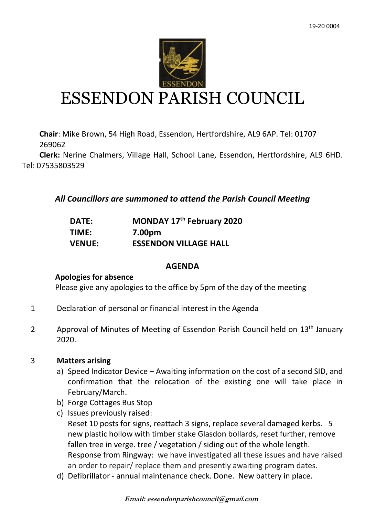

# ESSENDON PARISH COUNCIL

**Chair**: Mike Brown, 54 High Road, Essendon, Hertfordshire, AL9 6AP. Tel: 01707 269062

 **Clerk:** Nerine Chalmers, Village Hall, School Lane, Essendon, Hertfordshire, AL9 6HD. Tel: 07535803529

*All Councillors are summoned to attend the Parish Council Meeting*

| <b>DATE:</b>  | MONDAY 17th February 2020    |
|---------------|------------------------------|
| TIME:         | 7.00pm                       |
| <b>VENUE:</b> | <b>ESSENDON VILLAGE HALL</b> |

#### **AGENDA**

#### **Apologies for absence**

Please give any apologies to the office by 5pm of the day of the meeting

- 1 Declaration of personal or financial interest in the Agenda
- 2 Approval of Minutes of Meeting of Essendon Parish Council held on 13<sup>th</sup> January 2020.

#### 3 **Matters arising**

- a) Speed Indicator Device Awaiting information on the cost of a second SID, and confirmation that the relocation of the existing one will take place in February/March.
- b) Forge Cottages Bus Stop
- c) Issues previously raised: Reset 10 posts for signs, reattach 3 signs, replace several damaged kerbs. 5 new plastic hollow with timber stake Glasdon bollards, reset further, remove fallen tree in verge. tree / vegetation / siding out of the whole length. Response from Ringway: we have investigated all these issues and have raised an order to repair/ replace them and presently awaiting program dates.
- d) Defibrillator annual maintenance check. Done. New battery in place.

**Email: essendonparishcouncil@gmail.com**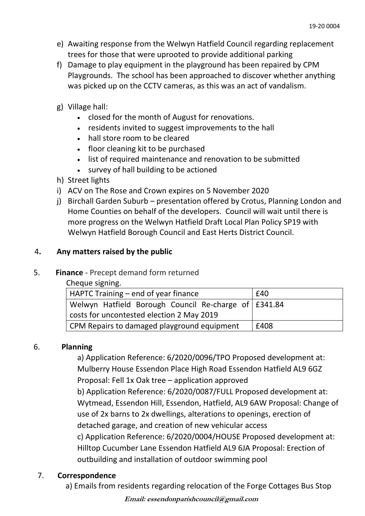- e) Awaiting response from the Welwyn Hatfield Council regarding replacement trees for those that were uprooted to provide additional parking
- f) Damage to play equipment in the playground has been repaired by CPM Playgrounds. The school has been approached to discover whether anything was picked up on the CCTV cameras, as this was an act of vandalism.
- g) Village hall:
	- closed for the month of August for renovations.
	- residents invited to suggest improvements to the hall
	- hall store room to be cleared
	- floor cleaning kit to be purchased
	- list of required maintenance and renovation to be submitted
	- survey of hall building to be actioned
- h) Street lights
- i) ACV on The Rose and Crown expires on 5 November 2020
- j) Birchall Garden Suburb presentation offered by Crotus, Planning London and Home Counties on behalf of the developers. Council will wait until there is more progress on the Welwyn Hatfield Draft Local Plan Policy SP19 with Welwyn Hatfield Borough Council and East Herts District Council.

## 4**. Any matters raised by the public**

## 5. **Finance** - Precept demand form returned

Cheque signing.

| HAPTC Training – end of year finance                 | £40  |  |
|------------------------------------------------------|------|--|
| Welwyn Hatfield Borough Council Re-charge of E341.84 |      |  |
| costs for uncontested election 2 May 2019            |      |  |
| CPM Repairs to damaged playground equipment          | £408 |  |

## 6. **Planning**

a) Application Reference: 6/2020/0096/TPO Proposed development at: Mulberry House Essendon Place High Road Essendon Hatfield AL9 6GZ Proposal: Fell 1x Oak tree – application approved

b) Application Reference: 6/2020/0087/FULL Proposed development at: Wytmead, Essendon Hill, Essendon, Hatfield, AL9 6AW Proposal: Change of use of 2x barns to 2x dwellings, alterations to openings, erection of detached garage, and creation of new vehicular access

c) Application Reference: 6/2020/0004/HOUSE Proposed development at: Hilltop Cucumber Lane Essendon Hatfield AL9 6JA Proposal: Erection of outbuilding and installation of outdoor swimming pool

## 7. **Correspondence**

a) Emails from residents regarding relocation of the Forge Cottages Bus Stop